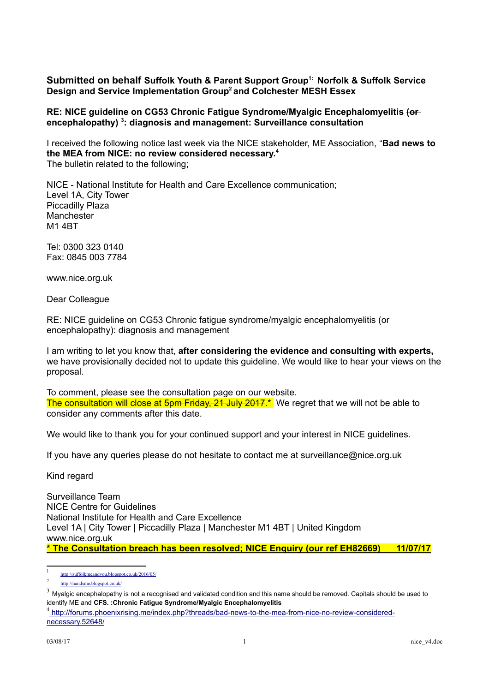### **Submitted on behalf Suffolk Youth & Parent Support Group[1:](#page-0-0) Norfolk & Suffolk Service Design and Service Implementation Group[2](#page-0-1) and Colchester MESH Essex**

#### **RE: NICE guideline on CG53 Chronic Fatigue Syndrome/Myalgic Encephalomyelitis (or encephalopathy) [3](#page-0-2) : diagnosis and management: Surveillance consultation**

I received the following notice last week via the NICE stakeholder, ME Association, "**Bad news to the MEA from NICE: no review considered necessary.[4](#page-0-3)** The bulletin related to the following;

NICE - National Institute for Health and Care Excellence communication; Level 1A, City Tower Piccadilly Plaza **Manchester** M1 4BT

Tel: 0300 323 0140 Fax: 0845 003 7784

www.nice.org.uk

Dear Colleague

RE: NICE guideline on CG53 Chronic fatigue syndrome/myalgic encephalomyelitis (or encephalopathy): diagnosis and management

I am writing to let you know that, **after considering the evidence and consulting with experts,** we have provisionally decided not to update this guideline. We would like to hear your views on the proposal.

To comment, please see the consultation page on our website. The consultation will close at 5pm Friday, 21 July 2017.<sup>\*</sup> We regret that we will not be able to consider any comments after this date.

We would like to thank you for your continued support and your interest in NICE guidelines.

If you have any queries please do not hesitate to contact me at surveillance@nice.org.uk

Kind regard

Surveillance Team NICE Centre for Guidelines National Institute for Health and Care Excellence Level 1A | City Tower | Piccadilly Plaza | Manchester M1 4BT | United Kingdom www.nice.org.uk **\* The Consultation breach has been resolved; NICE Enquiry (our ref EH82669) 11/07/17**

<span id="page-0-0"></span><sup>1</sup> <http://suffolkmeandyou.blogspot.co.uk/2016/05/>

<span id="page-0-1"></span><sup>2</sup> <http://nandsme.blogspot.co.uk/>

<span id="page-0-2"></span> $3$  Myalgic encephalopathy is not a recognised and validated condition and this name should be removed. Capitals should be used to identify ME and **CFS. :Chronic Fatigue Syndrome/Myalgic Encephalomyelitis**

<span id="page-0-3"></span><sup>&</sup>lt;sup>4</sup> <http://forums.phoenixrising.me/ind>[ex.php?threads/bad-news-to-the-mea-from-nice-no-review-considered](http://forums.phoenixrising.me/index.php?threads/bad-news-to-the-mea-from-nice-no-review-considered-necessary.52648/)[necessary.52648/](http://forums.phoenixrising.me/index.php?threads/bad-news-to-the-mea-from-nice-no-review-considered-necessary.52648/)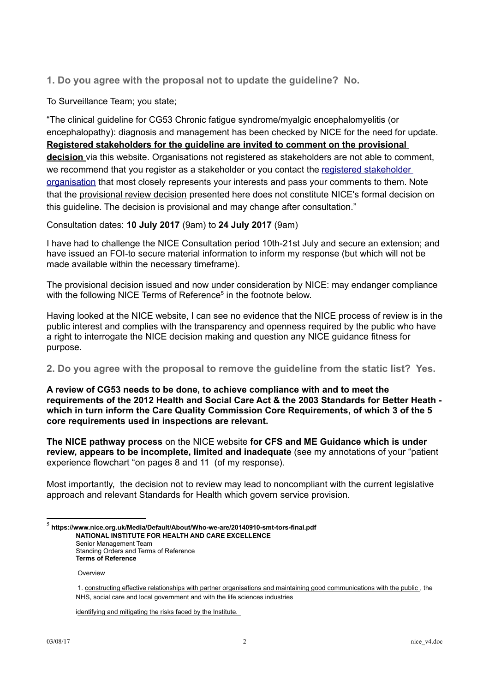**1. Do you agree with the proposal not to update the guideline? No.**

To Surveillance Team; you state;

"The clinical guideline for CG53 Chronic fatigue syndrome/myalgic encephalomyelitis (or encephalopathy): diagnosis and management has been checked by NICE for the need for update. **Registered stakeholders for the guideline are invited to comment on the provisional decision** via this website. Organisations not registered as stakeholders are not able to comment, we recommend that you register as a stakeholder or you contact the [registered stakeholder](https://www.nice.org.uk/guidance/cg53/documents/stakeholder-list-2)  [organisation](https://www.nice.org.uk/guidance/cg53/documents/stakeholder-list-2) that most closely represents your interests and pass your comments to them. Note that the provisional review decision presented here does not constitute NICE's formal decision on this guideline. The decision is provisional and may change after consultation."

Consultation dates: **10 July 2017** (9am) to **24 July 2017** (9am)

I have had to challenge the NICE Consultation period 10th-21st July and secure an extension; and have issued an FOI-to secure material information to inform my response (but which will not be made available within the necessary timeframe).

The provisional decision issued and now under consideration by NICE: may endanger compliance with the following NICE Terms of Reference<sup>[5](#page-1-0)</sup> in the footnote below.

Having looked at the NICE website, I can see no evidence that the NICE process of review is in the public interest and complies with the transparency and openness required by the public who have a right to interrogate the NICE decision making and question any NICE guidance fitness for purpose.

**2. Do you agree with the proposal to remove the guideline from the static list? Yes.**

**A review of CG53 needs to be done, to achieve compliance with and to meet the requirements of the 2012 Health and Social Care Act & the 2003 Standards for Better Heath which in turn inform the Care Quality Commission Core Requirements, of which 3 of the 5 core requirements used in inspections are relevant.** 

**The NICE pathway process** on the NICE website **for CFS and ME Guidance which is under review, appears to be incomplete, limited and inadequate** (see my annotations of your "patient experience flowchart "on pages 8 and 11 (of my response).

Most importantly, the decision not to review may lead to noncompliant with the current legislative approach and relevant Standards for Health which govern service provision.

Standing Orders and Terms of Reference **Terms of Reference** 

**Overview** 

identifying and mitigating the risks faced by the Institute.

<span id="page-1-0"></span><sup>5</sup> **https://www.nice.org.uk/Media/Default/About/Who-we-are/20140910-smt-tors-final.pdf NATIONAL INSTITUTE FOR HEALTH AND CARE EXCELLENCE** Senior Management Team

 <sup>1.</sup> constructing effective relationships with partner organisations and maintaining good communications with the public , the NHS, social care and local government and with the life sciences industries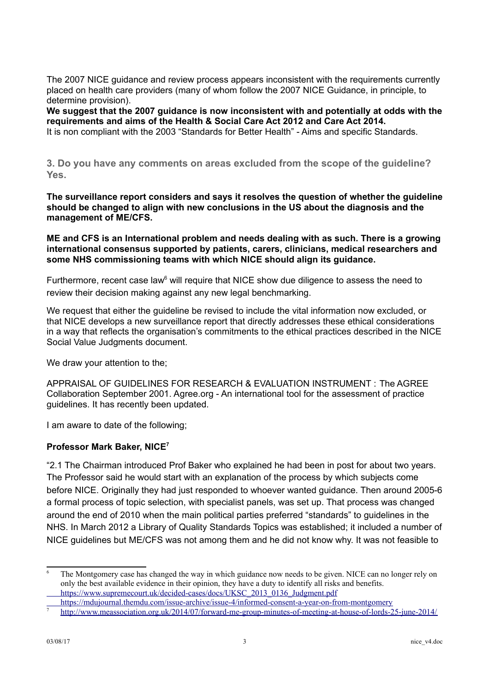The 2007 NICE guidance and review process appears inconsistent with the requirements currently placed on health care providers (many of whom follow the 2007 NICE Guidance, in principle, to determine provision).

**We suggest that the 2007 guidance is now inconsistent with and potentially at odds with the requirements and aims of the Health & Social Care Act 2012 and Care Act 2014.**  It is non compliant with the 2003 "Standards for Better Health" - Aims and specific Standards.

**3. Do you have any comments on areas excluded from the scope of the guideline? Yes.**

**The surveillance report considers and says it resolves the question of whether the guideline should be changed to align with new conclusions in the US about the diagnosis and the management of ME/CFS.**

**ME and CFS is an International problem and needs dealing with as such. There is a growing international consensus supported by patients, carers, clinicians, medical researchers and some NHS commissioning teams with which NICE should align its guidance.**

Furthermore, recent case law $6$  will require that NICE show due diligence to assess the need to review their decision making against any new legal benchmarking.

We request that either the quideline be revised to include the vital information now excluded, or that NICE develops a new surveillance report that directly addresses these ethical considerations in a way that reflects the organisation's commitments to the ethical practices described in the NICE Social Value Judgments document.

We draw your attention to the;

APPRAISAL OF GUIDELINES FOR RESEARCH & EVALUATION INSTRUMENT : The AGREE Collaboration September 2001. Agree.org - An international tool for the assessment of practice guidelines. It has recently been updated.

I am aware to date of the following;

## **Professor Mark Baker, NICE[7](#page-2-1)**

"2.1 The Chairman introduced Prof Baker who explained he had been in post for about two years. The Professor said he would start with an explanation of the process by which subjects come before NICE. Originally they had just responded to whoever wanted guidance. Then around 2005-6 a formal process of topic selection, with specialist panels, was set up. That process was changed around the end of 2010 when the main political parties preferred "standards" to guidelines in the NHS. In March 2012 a Library of Quality Standards Topics was established; it included a number of NICE guidelines but ME/CFS was not among them and he did not know why. It was not feasible to

<span id="page-2-0"></span> $\overline{6}$  The Montgomery case has changed the way in which guidance now needs to be given. NICE can no longer rely on only the best available evidence in their opinion, they have a duty to identify all risks and benefits. [https://www.supremecourt.uk/decided-cases/docs/UKSC\\_2013\\_0136\\_Judgment.pdf](https://www.supremecourt.uk/decided-cases/docs/UKSC_2013_0136_Judgment.pdf)

<https://mdujournal.themdu.com/issue-archive/issue-4/informed-consent-a-year-on-from-montgomery>

<span id="page-2-1"></span><sup>7</sup> <http://www.meassociation.org.uk/2014/07/forward-me-group-minutes-of-meeting-at-house-of-lords-25-june-2014/>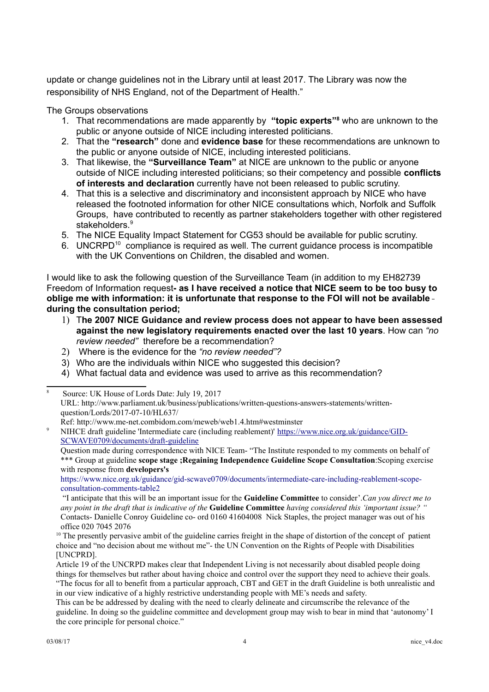update or change guidelines not in the Library until at least 2017. The Library was now the responsibility of NHS England, not of the Department of Health."

The Groups observations

- 1. That recommendations are made apparently by **"topic experts"[8](#page-3-0)** who are unknown to the public or anyone outside of NICE including interested politicians.
- 2. That the **"research"** done and **evidence base** for these recommendations are unknown to the public or anyone outside of NICE, including interested politicians.
- 3. That likewise, the **"Surveillance Team"** at NICE are unknown to the public or anyone outside of NICE including interested politicians; so their competency and possible **conflicts of interests and declaration** currently have not been released to public scrutiny.
- 4. That this is a selective and discriminatory and inconsistent approach by NICE who have released the footnoted information for other NICE consultations which, Norfolk and Suffolk Groups, have contributed to recently as partner stakeholders together with other registered stakeholders.<sup>[9](#page-3-1)</sup>
- 5. The NICE Equality Impact Statement for CG53 should be available for public scrutiny.
- 6. UNCRPD<sup>[10](#page-3-2)</sup> compliance is required as well. The current quidance process is incompatible with the UK Conventions on Children, the disabled and women.

I would like to ask the following question of the Surveillance Team (in addition to my EH82739 Freedom of Information request**- as I have received a notice that NICE seem to be too busy to oblige me with information: it is unfortunate that response to the FOI will not be available during the consultation period;**

- 1) T**he 2007 NICE Guidance and review process does not appear to have been assessed against the new legislatory requirements enacted over the last 10 years**. How can *"no review needed"* therefore be a recommendation?
- 2) Where is the evidence for the *"no review needed"?*
- 3) Who are the individuals within NICE who suggested this decision?
- 4) What factual data and evidence was used to arrive as this recommendation?

Ref: http://www.me-net.combidom.com/meweb/web1.4.htm#westminster

Question made during correspondence with NICE Team- "The Institute responded to my comments on behalf of \*\*\* Group at guideline **scope stage ;Regaining Independence Guideline Scope Consultation**:Scoping exercise with response from **developers's**

[https://www.nice.org.uk/guidance/gid-scwave0709/documents/intermediate-care-including-reablement-scope](https://www.nice.org.uk/guidance/gid-scwave0709/documents/intermediate-care-including-reablement-scope-consultation-comments-table2)[consultation-comments-table2](https://www.nice.org.uk/guidance/gid-scwave0709/documents/intermediate-care-including-reablement-scope-consultation-comments-table2)

 "I anticipate that this will be an important issue for the **Guideline Committee** to consider'.*Can you direct me to any point in the draft that is indicative of the* **Guideline Committee** *having considered this 'important issue? "* Contacts- Danielle Conroy Guideline co- ord 0160 41604008 Nick Staples, the project manager was out of his office 020 7045 2076

<span id="page-3-2"></span> $10$  The presently pervasive ambit of the guideline carries freight in the shape of distortion of the concept of patient choice and "no decision about me without me"- the UN Convention on the Rights of People with Disabilities [UNCPRD].

<span id="page-3-0"></span><sup>8</sup> Source: UK House of Lords Date: July 19, 2017 URL: http://www.parliament.uk/business/publications/written-questions-answers-statements/writtenquestion/Lords/2017-07-10/HL637/

<span id="page-3-1"></span><sup>9</sup> NIHCE draft guideline 'Intermediate care (including reablement)' [https://www.nice.org.uk/guidance/GID-](https://www.nice.org.uk/guidance/GID-SCWAVE0709/documents/draft-guideline)[SCWAVE0709/documents/draft-guideline](https://www.nice.org.uk/guidance/GID-SCWAVE0709/documents/draft-guideline)

Article 19 of the UNCRPD makes clear that Independent Living is not necessarily about disabled people doing things for themselves but rather about having choice and control over the support they need to achieve their goals. "The focus for all to benefit from a particular approach, CBT and GET in the draft Guideline is both unrealistic and in our view indicative of a highly restrictive understanding people with ME's needs and safety.

This can be be addressed by dealing with the need to clearly delineate and circumscribe the relevance of the guideline. In doing so the guideline committee and development group may wish to bear in mind that 'autonomy' I the core principle for personal choice."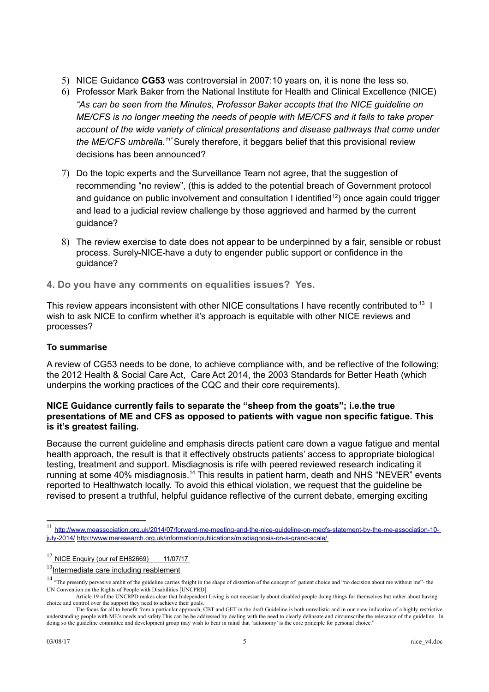- 5) NICE Guidance **CG53** was controversial in 2007:10 years on, it is none the less so.
- 6) Professor Mark Baker from the National Institute for Health and Clinical Excellence (NICE) *"As can be seen from the Minutes, Professor Baker accepts that the NICE guideline on ME/CFS is no longer meeting the needs of people with ME/CFS and it fails to take proper account of the wide variety of clinical presentations and disease pathways that come under the ME/CFS umbrella.[11"](#page-4-0)* Surely therefore, it beggars belief that this provisional review decisions has been announced?
- 7) Do the topic experts and the Surveillance Team not agree, that the suggestion of recommending "no review", (this is added to the potential breach of Government protocol and quidance on public involvement and consultation I identified<sup>[12](#page-4-1)</sup>) once again could trigger and lead to a judicial review challenge by those aggrieved and harmed by the current quidance?
- 8) The review exercise to date does not appear to be underpinned by a fair, sensible or robust process. Surely NICE have a duty to engender public support or confidence in the guidance?

**4. Do you have any comments on equalities issues? Yes.**

This review appears inconsistent with other NICE consultations I have recently contributed to.<sup>13</sup> I wish to ask NICE to confirm whether it's approach is equitable with other NICE reviews and processes?

### **To summarise**

A review of CG53 needs to be done, to achieve compliance with, and be reflective of the following; the 2012 Health & Social Care Act, Care Act 2014, the 2003 Standards for Better Heath (which underpins the working practices of the CQC and their core requirements).

## **NICE Guidance currently fails to separate the "sheep from the goats"; i.e.the true presentations of ME and CFS as opposed to patients with vague non specific fatigue. This is it's greatest failing.**

Because the current guideline and emphasis directs patient care down a vague fatigue and mental health approach, the result is that it effectively obstructs patients' access to appropriate biological testing, treatment and support. Misdiagnosis is rife with peered reviewed research indicating it running at some 40% misdiagnosis.<sup>[14](#page-4-3)</sup> This results in patient harm, death and NHS "NEVER" events reported to Healthwatch locally. To avoid this ethical violation, we request that the guideline be revised to present a truthful, helpful guidance reflective of the current debate, emerging exciting

<span id="page-4-0"></span><sup>11</sup> [http://www.meassociation.org.uk/2014/07/forward-me-meeting-and-the-nice-guideline-on-mecfs-statement-by-the-me-association-10](http://www.meassociation.org.uk/2014/07/forward-me-meeting-and-the-nice-guideline-on-mecfs-statement-by-the-me-association-10-july-2014/) [july-2014/](http://www.meassociation.org.uk/2014/07/forward-me-meeting-and-the-nice-guideline-on-mecfs-statement-by-the-me-association-10-july-2014/) <http://www.meresearch.org.uk/information/publications/misdiagnosis-on-a-grand-scale/>

<span id="page-4-1"></span> $12$  NICE Enquiry (our ref EH82669) 11/07/17

<span id="page-4-2"></span> $13$ Intermediate care including reablement

<span id="page-4-3"></span><sup>&</sup>lt;sup>14</sup> "The presently pervasive ambit of the guideline carries freight in the shape of distortion of the concept of patient choice and "no decision about me without me"- the UN Convention on the Rights of People with Disabilities [UNCPRD].

Article 19 of the UNCRPD makes clear that Independent Living is not necessarily about disabled people doing things for themselves but rather about having choice and control over the support they need to achieve their goals.

The focus for all to benefit from a particular approach, CBT and GET in the draft Guideline is both unrealistic and in our view indicative of a highly restrictive understanding people with ME's needs and safety.This can be be addressed by dealing with the need to clearly delineate and circumscribe the relevance of the guideline. In doing so the guideline committee and development group may wish to bear in mind that 'autonomy' is the core principle for personal choice."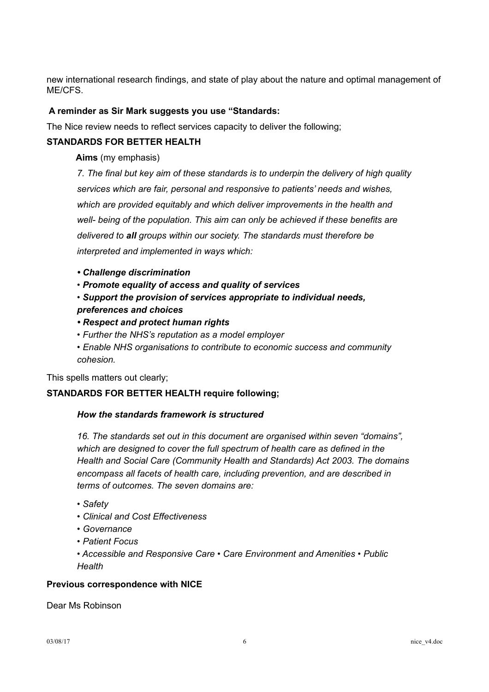new international research findings, and state of play about the nature and optimal management of ME/CFS.

## **A reminder as Sir Mark suggests you use "Standards:**

The Nice review needs to reflect services capacity to deliver the following;

## **STANDARDS FOR BETTER HEALTH**

**Aims** (my emphasis)

*7. The final but key aim of these standards is to underpin the delivery of high quality services which are fair, personal and responsive to patients' needs and wishes, which are provided equitably and which deliver improvements in the health and well- being of the population. This aim can only be achieved if these benefits are delivered to all groups within our society. The standards must therefore be interpreted and implemented in ways which:* 

- *Challenge discrimination*
- *Promote equality of access and quality of services*
- *• Support the provision of services appropriate to individual needs, preferences and choices*
- *Respect and protect human rights*
- *Further the NHS's reputation as a model employer*
- *Enable NHS organisations to contribute to economic success and community cohesion.*

This spells matters out clearly;

### **STANDARDS FOR BETTER HEALTH require following;**

### *How the standards framework is structured*

*16. The standards set out in this document are organised within seven "domains", which are designed to cover the full spectrum of health care as defined in the Health and Social Care (Community Health and Standards) Act 2003. The domains encompass all facets of health care, including prevention, and are described in terms of outcomes. The seven domains are:* 

- *Safety*
- *Clinical and Cost Effectiveness*
- *Governance*
- *Patient Focus*
- *Accessible and Responsive Care Care Environment and Amenities Public Health*

### **Previous correspondence with NICE**

Dear Ms Robinson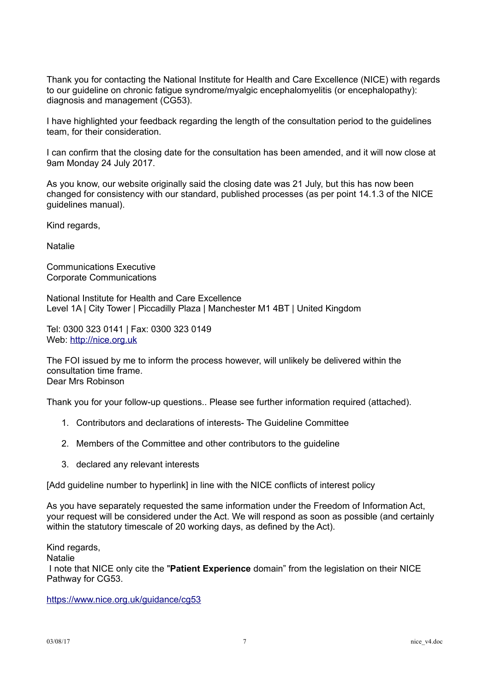Thank you for contacting the National Institute for Health and Care Excellence (NICE) with regards to our guideline on chronic fatigue syndrome/myalgic encephalomyelitis (or encephalopathy): diagnosis and management (CG53).

I have highlighted your feedback regarding the length of the consultation period to the guidelines team, for their consideration.

I can confirm that the closing date for the consultation has been amended, and it will now close at 9am Monday 24 July 2017.

As you know, our website originally said the closing date was 21 July, but this has now been changed for consistency with our standard, published processes (as per point 14.1.3 of the NICE guidelines manual).

Kind regards,

Natalie

Communications Executive Corporate Communications

National Institute for Health and Care Excellence Level 1A | City Tower | Piccadilly Plaza | Manchester M1 4BT | United Kingdom

Tel: 0300 323 0141 | Fax: 0300 323 0149 Web: [http://nice.org.uk](http://nice.org.uk/)

The FOI issued by me to inform the process however, will unlikely be delivered within the consultation time frame. Dear Mrs Robinson

Thank you for your follow-up questions.. Please see further information required (attached).

- 1. Contributors and declarations of interests- The Guideline Committee
- 2. Members of the Committee and other contributors to the guideline
- 3. declared any relevant interests

[Add guideline number to hyperlink] in line with the NICE conflicts of interest policy

As you have separately requested the same information under the Freedom of Information Act, your request will be considered under the Act. We will respond as soon as possible (and certainly within the statutory timescale of 20 working days, as defined by the Act).

Kind regards,

Natalie

I note that NICE only cite the "**Patient Experience** domain" from the legislation on their NICE Pathway for CG53.

<https://www.nice.org.uk/guidance/cg53>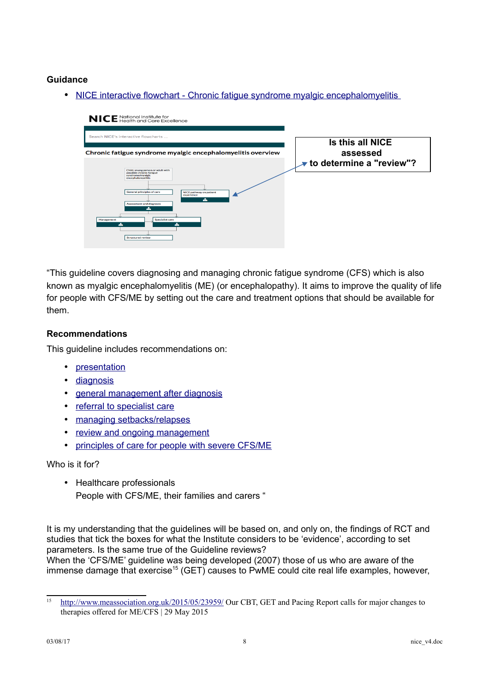## **Guidance**

• NICE interactive flowchart - Chronic fatigue syndrome myalgic encephalomyelitis



"This guideline covers diagnosing and managing chronic fatigue syndrome (CFS) which is also known as myalgic encephalomyelitis (ME) (or encephalopathy). It aims to improve the quality of life for people with CFS/ME by setting out the care and treatment options that should be available for them.

## **Recommendations**

This guideline includes recommendations on:

- [presentation](http://www.nice.org.uk/guidance/cg53/chapter/1-Guidance#presentation)
- [diagnosis](http://www.nice.org.uk/guidance/cg53/chapter/1-Guidance#diagnosis)
- [general management after diagnosis](http://www.nice.org.uk/guidance/cg53/chapter/1-Guidance#general-management-strategies-after-diagnosis)
- [referral to specialist care](http://www.nice.org.uk/guidance/cg53/chapter/1-Guidance#referral-to-specialist-cfsme-care)
- [managing setbacks/relapses](http://www.nice.org.uk/guidance/cg53/chapter/1-Guidance#management-of-setbacksrelapses)
- [review and ongoing management](http://www.nice.org.uk/guidance/cg53/chapter/1-Guidance#review-and-ongoing-management)
- [principles of care for people with severe CFS/ME](http://www.nice.org.uk/guidance/cg53/chapter/1-Guidance#key-principles-of-care-for-people-with-severe-cfsme)

Who is it for?

• Healthcare professionals People with CFS/ME, their families and carers "

It is my understanding that the guidelines will be based on, and only on, the findings of RCT and studies that tick the boxes for what the Institute considers to be 'evidence', according to set parameters. Is the same true of the Guideline reviews? When the 'CFS/ME' guideline was being developed (2007) those of us who are aware of the immense damage that exercise<sup>[15](#page-7-0)</sup> (GET) causes to PwME could cite real life examples, however,

<span id="page-7-0"></span><sup>&</sup>lt;sup>15</sup> <http://www.meassociation.org.uk/2015/05/23959/>Our CBT, GET and Pacing Report calls for major changes to therapies offered for ME/CFS | 29 May 2015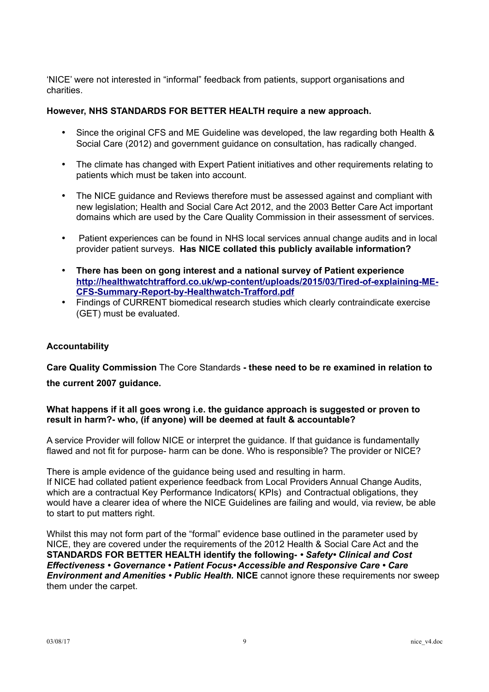'NICE' were not interested in "informal" feedback from patients, support organisations and charities.

### **However, NHS STANDARDS FOR BETTER HEALTH require a new approach.**

- Since the original CFS and ME Guideline was developed, the law regarding both Health & Social Care (2012) and government guidance on consultation, has radically changed.
- The climate has changed with Expert Patient initiatives and other requirements relating to patients which must be taken into account.
- The NICE guidance and Reviews therefore must be assessed against and compliant with new legislation; Health and Social Care Act 2012, and the 2003 Better Care Act important domains which are used by the Care Quality Commission in their assessment of services.
- Patient experiences can be found in NHS local services annual change audits and in local provider patient surveys. **Has NICE collated this publicly available information?**
- **There has been on gong interest and a national survey of Patient experience [http://healthwatchtrafford.co.uk/wp-content/uploads/2015/03/Tired-of-explaining-ME-](http://healthwatchtrafford.co.uk/wp-content/uploads/2015/03/Tired-of-explaining-ME-CFS-Summary-Report-by-Healthwatch-Trafford.pdf)[CFS-Summary-Report-by-Healthwatch-Trafford.pdf](http://healthwatchtrafford.co.uk/wp-content/uploads/2015/03/Tired-of-explaining-ME-CFS-Summary-Report-by-Healthwatch-Trafford.pdf)**
- Findings of CURRENT biomedical research studies which clearly contraindicate exercise (GET) must be evaluated.

#### **Accountability**

**Care Quality Commission** The Core Standards **- these need to be re examined in relation to the current 2007 guidance.**

#### **What happens if it all goes wrong i.e. the guidance approach is suggested or proven to result in harm?- who, (if anyone) will be deemed at fault & accountable?**

A service Provider will follow NICE or interpret the guidance. If that guidance is fundamentally flawed and not fit for purpose- harm can be done. Who is responsible? The provider or NICE?

There is ample evidence of the guidance being used and resulting in harm. If NICE had collated patient experience feedback from Local Providers Annual Change Audits, which are a contractual Key Performance Indicators( KPIs) and Contractual obligations, they would have a clearer idea of where the NICE Guidelines are failing and would, via review, be able to start to put matters right.

Whilst this may not form part of the "formal" evidence base outlined in the parameter used by NICE, they are covered under the requirements of the 2012 Health & Social Care Act and the **STANDARDS FOR BETTER HEALTH identify the following-** *• Safety• Clinical and Cost Effectiveness • Governance • Patient Focus• Accessible and Responsive Care • Care Environment and Amenities • Public Health.* **NICE** cannot ignore these requirements nor sweep them under the carpet.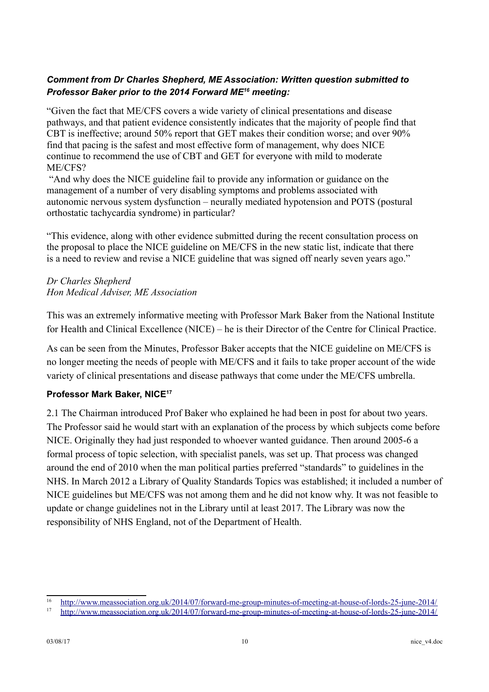# *Comment from Dr Charles Shepherd, ME Association: Written question submitted to Professor Baker prior to the 2014 Forward ME[16](#page-9-0) meeting:*

"Given the fact that ME/CFS covers a wide variety of clinical presentations and disease pathways, and that patient evidence consistently indicates that the majority of people find that CBT is ineffective; around 50% report that GET makes their condition worse; and over 90% find that pacing is the safest and most effective form of management, why does NICE continue to recommend the use of CBT and GET for everyone with mild to moderate ME/CFS?

"And why does the NICE guideline fail to provide any information or guidance on the management of a number of very disabling symptoms and problems associated with autonomic nervous system dysfunction – neurally mediated hypotension and POTS (postural orthostatic tachycardia syndrome) in particular?

"This evidence, along with other evidence submitted during the recent consultation process on the proposal to place the NICE guideline on ME/CFS in the new static list, indicate that there is a need to review and revise a NICE guideline that was signed off nearly seven years ago."

# *Dr Charles Shepherd Hon Medical Adviser, ME Association*

This was an extremely informative meeting with Professor Mark Baker from the National Institute for Health and Clinical Excellence (NICE) – he is their Director of the Centre for Clinical Practice.

As can be seen from the Minutes, Professor Baker accepts that the NICE guideline on ME/CFS is no longer meeting the needs of people with ME/CFS and it fails to take proper account of the wide variety of clinical presentations and disease pathways that come under the ME/CFS umbrella.

# **Professor Mark Baker, NICE[17](#page-9-1)**

2.1 The Chairman introduced Prof Baker who explained he had been in post for about two years. The Professor said he would start with an explanation of the process by which subjects come before NICE. Originally they had just responded to whoever wanted guidance. Then around 2005-6 a formal process of topic selection, with specialist panels, was set up. That process was changed around the end of 2010 when the man political parties preferred "standards" to guidelines in the NHS. In March 2012 a Library of Quality Standards Topics was established; it included a number of NICE guidelines but ME/CFS was not among them and he did not know why. It was not feasible to update or change guidelines not in the Library until at least 2017. The Library was now the responsibility of NHS England, not of the Department of Health.

<span id="page-9-0"></span><sup>16</sup> <http://www.meassociation.org.uk/2014/07/forward-me-group-minutes-of-meeting-at-house-of-lords-25-june-2014/>

<span id="page-9-1"></span><sup>17</sup> <http://www.meassociation.org.uk/2014/07/forward-me-group-minutes-of-meeting-at-house-of-lords-25-june-2014/>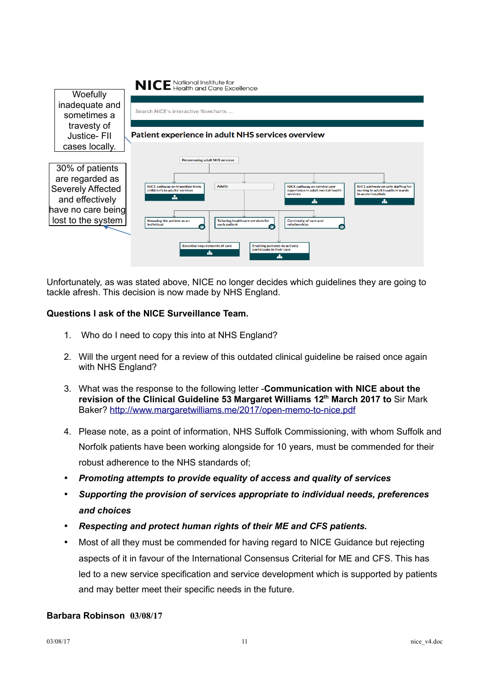

Unfortunately, as was stated above, NICE no longer decides which guidelines they are going to tackle afresh. This decision is now made by NHS England.

## **Questions I ask of the NICE Surveillance Team.**

- 1. Who do I need to copy this into at NHS England?
- 2. Will the urgent need for a review of this outdated clinical guideline be raised once again with NHS England?
- 3. What was the response to the following letter -**Communication with NICE about the revision of the Clinical Guideline 53 Margaret Williams 12th March 2017 to** Sir Mark Baker?<http://www.margaretwilliams.me/2017/open-memo-to-nice.pdf>
- 4. Please note, as a point of information, NHS Suffolk Commissioning, with whom Suffolk and Norfolk patients have been working alongside for 10 years, must be commended for their robust adherence to the NHS standards of;
- *Promoting attempts to provide equality of access and quality of services*
- *Supporting the provision of services appropriate to individual needs, preferences and choices*
- *Respecting and protect human rights of their ME and CFS patients.*
- Most of all they must be commended for having regard to NICE Guidance but rejecting aspects of it in favour of the International Consensus Criterial for ME and CFS. This has led to a new service specification and service development which is supported by patients and may better meet their specific needs in the future.

### **Barbara Robinson 03/08/17**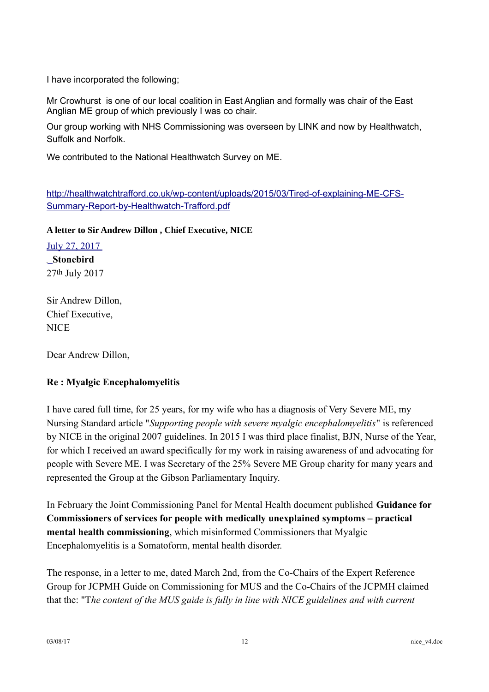I have incorporated the following;

Mr Crowhurst is one of our local coalition in East Anglian and formally was chair of the East Anglian ME group of which previously I was co chair.

Our group working with NHS Commissioning was overseen by LINK and now by Healthwatch, Suffolk and Norfolk.

We contributed to the National Healthwatch Survey on ME.

[http://healthwatchtrafford.co.uk/wp-content/uploads/2015/03/Tired-of-explaining-ME-CFS-](http://healthwatchtrafford.co.uk/wp-content/uploads/2015/03/Tired-of-explaining-ME-CFS-Summary-Report-by-Healthwatch-Trafford.pdf)[Summary-Report-by-Healthwatch-Trafford.pdf](http://healthwatchtrafford.co.uk/wp-content/uploads/2015/03/Tired-of-explaining-ME-CFS-Summary-Report-by-Healthwatch-Trafford.pdf)

**A letter to Sir Andrew Dillon , Chief Executive, NICE** 

[July 27, 2017](http://carersfight.blogspot.co.uk/2017/07/a-letter-to-sir-andrew-dillon-chief.html)  **Stonebird** 27th July 2017

Sir Andrew Dillon, Chief Executive, **NICE** 

Dear Andrew Dillon,

## **Re : Myalgic Encephalomyelitis**

I have cared full time, for 25 years, for my wife who has a diagnosis of Very Severe ME, my Nursing Standard article "*Supporting people with severe myalgic encephalomyelitis*" is referenced by NICE in the original 2007 guidelines. In 2015 I was third place finalist, BJN, Nurse of the Year, for which I received an award specifically for my work in raising awareness of and advocating for people with Severe ME. I was Secretary of the 25% Severe ME Group charity for many years and represented the Group at the Gibson Parliamentary Inquiry.

In February the Joint Commissioning Panel for Mental Health document published **Guidance for Commissioners of services for people with medically unexplained symptoms – practical mental health commissioning**, which misinformed Commissioners that Myalgic Encephalomyelitis is a Somatoform, mental health disorder.

The response, in a letter to me, dated March 2nd, from the Co-Chairs of the Expert Reference Group for JCPMH Guide on Commissioning for MUS and the Co-Chairs of the JCPMH claimed that the: "T*he content of the MUS guide is fully in line with NICE guidelines and with current*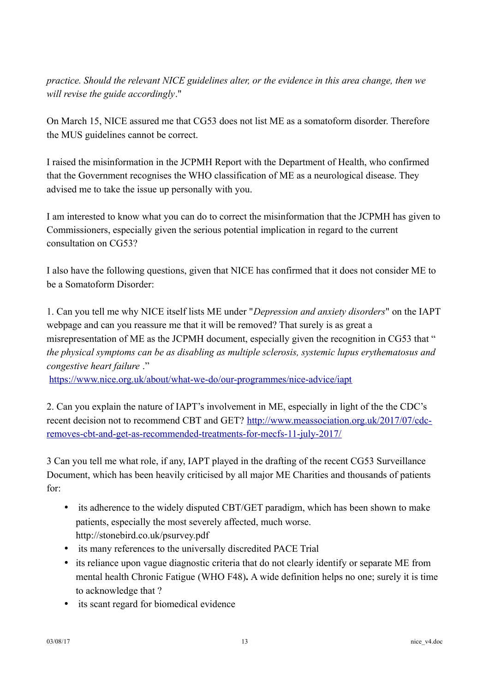*practice. Should the relevant NICE guidelines alter, or the evidence in this area change, then we will revise the guide accordingly*."

On March 15, NICE assured me that CG53 does not list ME as a somatoform disorder. Therefore the MUS guidelines cannot be correct.

I raised the misinformation in the JCPMH Report with the Department of Health, who confirmed that the Government recognises the WHO classification of ME as a neurological disease. They advised me to take the issue up personally with you.

I am interested to know what you can do to correct the misinformation that the JCPMH has given to Commissioners, especially given the serious potential implication in regard to the current consultation on CG53?

I also have the following questions, given that NICE has confirmed that it does not consider ME to be a Somatoform Disorder:

1. Can you tell me why NICE itself lists ME under "*Depression and anxiety disorders*" on the IAPT webpage and can you reassure me that it will be removed? That surely is as great a misrepresentation of ME as the JCPMH document, especially given the recognition in CG53 that " *the physical symptoms can be as disabling as multiple sclerosis, systemic lupus erythematosus and congestive heart failure* ."

<https://www.nice.org.uk/about/what-we-do/our-programmes/nice-advice/iapt>

2. Can you explain the nature of IAPT's involvement in ME, especially in light of the the CDC's recent decision not to recommend CBT and GET? [http://www.meassociation.org.uk/2017/07/cdc](http://www.meassociation.org.uk/2017/07/cdc-removes-cbt-and-get-as-recommended-treatments-for-mecfs-11-july-2017/)[removes-cbt-and-get-as-recommended-treatments-for-mecfs-11-july-2017/](http://www.meassociation.org.uk/2017/07/cdc-removes-cbt-and-get-as-recommended-treatments-for-mecfs-11-july-2017/)

3 Can you tell me what role, if any, IAPT played in the drafting of the recent CG53 Surveillance Document, which has been heavily criticised by all major ME Charities and thousands of patients for:

- its adherence to the widely disputed CBT/GET paradigm, which has been shown to make patients, especially the most severely affected, much worse. http://stonebird.co.uk/psurvey.pdf
- its many references to the universally discredited PACE Trial
- its reliance upon vague diagnostic criteria that do not clearly identify or separate ME from mental health Chronic Fatigue (WHO F48)**.** A wide definition helps no one; surely it is time to acknowledge that ?
- its scant regard for biomedical evidence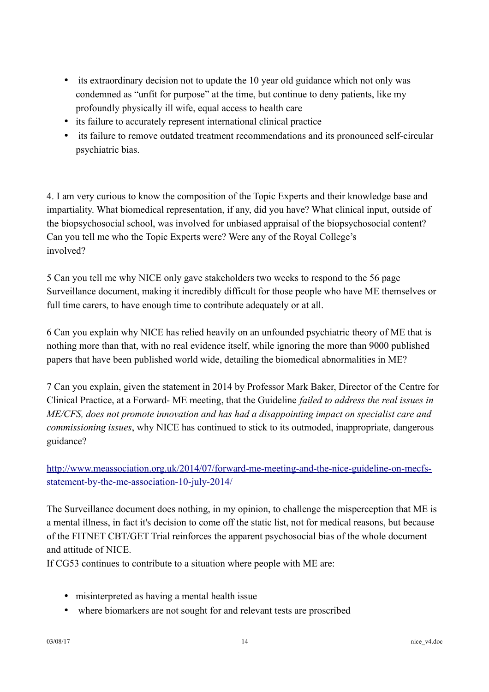- its extraordinary decision not to update the 10 year old guidance which not only was condemned as "unfit for purpose" at the time, but continue to deny patients, like my profoundly physically ill wife, equal access to health care
- its failure to accurately represent international clinical practice
- its failure to remove outdated treatment recommendations and its pronounced self-circular psychiatric bias.

4. I am very curious to know the composition of the Topic Experts and their knowledge base and impartiality. What biomedical representation, if any, did you have? What clinical input, outside of the biopsychosocial school, was involved for unbiased appraisal of the biopsychosocial content? Can you tell me who the Topic Experts were? Were any of the Royal College's involved?

5 Can you tell me why NICE only gave stakeholders two weeks to respond to the 56 page Surveillance document, making it incredibly difficult for those people who have ME themselves or full time carers, to have enough time to contribute adequately or at all.

6 Can you explain why NICE has relied heavily on an unfounded psychiatric theory of ME that is nothing more than that, with no real evidence itself, while ignoring the more than 9000 published papers that have been published world wide, detailing the biomedical abnormalities in ME?

7 Can you explain, given the statement in 2014 by Professor Mark Baker, Director of the Centre for Clinical Practice, at a Forward- ME meeting, that the Guideline *failed to address the real issues in ME/CFS, does not promote innovation and has had a disappointing impact on specialist care and commissioning issues*, why NICE has continued to stick to its outmoded, inappropriate, dangerous guidance?

[http://www.meassociation.org.uk/2014/07/forward-me-meeting-and-the-nice-guideline-on-mecfs](http://www.meassociation.org.uk/2014/07/forward-me-meeting-and-the-nice-guideline-on-mecfs-statement-by-the-me-association-10-july-2014/)[statement-by-the-me-association-10-july-2014/](http://www.meassociation.org.uk/2014/07/forward-me-meeting-and-the-nice-guideline-on-mecfs-statement-by-the-me-association-10-july-2014/)

The Surveillance document does nothing, in my opinion, to challenge the misperception that ME is a mental illness, in fact it's decision to come off the static list, not for medical reasons, but because of the FITNET CBT/GET Trial reinforces the apparent psychosocial bias of the whole document and attitude of NICE.

If CG53 continues to contribute to a situation where people with ME are:

- misinterpreted as having a mental health issue
- where biomarkers are not sought for and relevant tests are proscribed